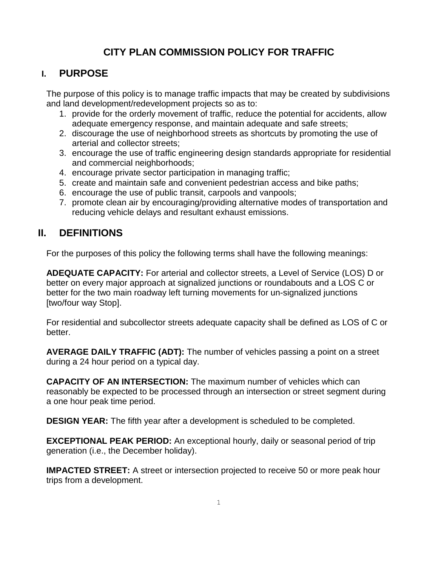# **CITY PLAN COMMISSION POLICY FOR TRAFFIC**

### **I. PURPOSE**

The purpose of this policy is to manage traffic impacts that may be created by subdivisions and land development/redevelopment projects so as to:

- 1. provide for the orderly movement of traffic, reduce the potential for accidents, allow adequate emergency response, and maintain adequate and safe streets;
- 2. discourage the use of neighborhood streets as shortcuts by promoting the use of arterial and collector streets;
- 3. encourage the use of traffic engineering design standards appropriate for residential and commercial neighborhoods;
- 4. encourage private sector participation in managing traffic;
- 5. create and maintain safe and convenient pedestrian access and bike paths;
- 6. encourage the use of public transit, carpools and vanpools;
- 7. promote clean air by encouraging/providing alternative modes of transportation and reducing vehicle delays and resultant exhaust emissions.

## **II. DEFINITIONS**

For the purposes of this policy the following terms shall have the following meanings:

**ADEQUATE CAPACITY:** For arterial and collector streets, a Level of Service (LOS) D or better on every major approach at signalized junctions or roundabouts and a LOS C or better for the two main roadway left turning movements for un-signalized junctions [two/four way Stop].

For residential and subcollector streets adequate capacity shall be defined as LOS of C or better.

**AVERAGE DAILY TRAFFIC (ADT):** The number of vehicles passing a point on a street during a 24 hour period on a typical day.

**CAPACITY OF AN INTERSECTION:** The maximum number of vehicles which can reasonably be expected to be processed through an intersection or street segment during a one hour peak time period.

**DESIGN YEAR:** The fifth year after a development is scheduled to be completed.

**EXCEPTIONAL PEAK PERIOD:** An exceptional hourly, daily or seasonal period of trip generation (i.e., the December holiday).

**IMPACTED STREET:** A street or intersection projected to receive 50 or more peak hour trips from a development.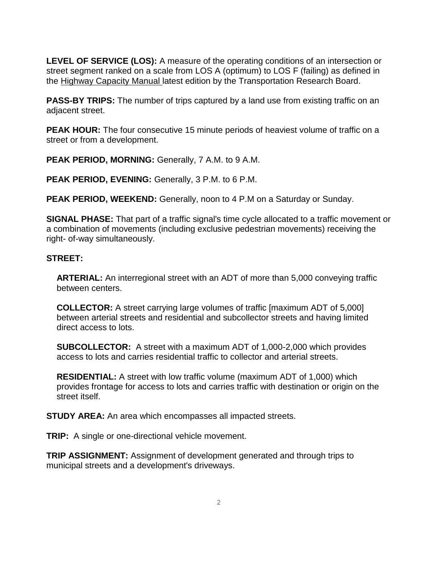**LEVEL OF SERVICE (LOS):** A measure of the operating conditions of an intersection or street segment ranked on a scale from LOS A (optimum) to LOS F (failing) as defined in the Highway Capacity Manual latest edition by the Transportation Research Board.

**PASS-BY TRIPS:** The number of trips captured by a land use from existing traffic on an adjacent street.

**PEAK HOUR:** The four consecutive 15 minute periods of heaviest volume of traffic on a street or from a development.

**PEAK PERIOD, MORNING:** Generally, 7 A.M. to 9 A.M.

**PEAK PERIOD, EVENING:** Generally, 3 P.M. to 6 P.M.

**PEAK PERIOD, WEEKEND:** Generally, noon to 4 P.M on a Saturday or Sunday.

**SIGNAL PHASE:** That part of a traffic signal's time cycle allocated to a traffic movement or a combination of movements (including exclusive pedestrian movements) receiving the right- of-way simultaneously.

#### **STREET:**

**ARTERIAL:** An interregional street with an ADT of more than 5,000 conveying traffic between centers.

**COLLECTOR:** A street carrying large volumes of traffic [maximum ADT of 5,000] between arterial streets and residential and subcollector streets and having limited direct access to lots.

**SUBCOLLECTOR:** A street with a maximum ADT of 1,000-2,000 which provides access to lots and carries residential traffic to collector and arterial streets.

**RESIDENTIAL:** A street with low traffic volume (maximum ADT of 1,000) which provides frontage for access to lots and carries traffic with destination or origin on the street itself.

**STUDY AREA:** An area which encompasses all impacted streets.

**TRIP:** A single or one-directional vehicle movement.

**TRIP ASSIGNMENT:** Assignment of development generated and through trips to municipal streets and a development's driveways.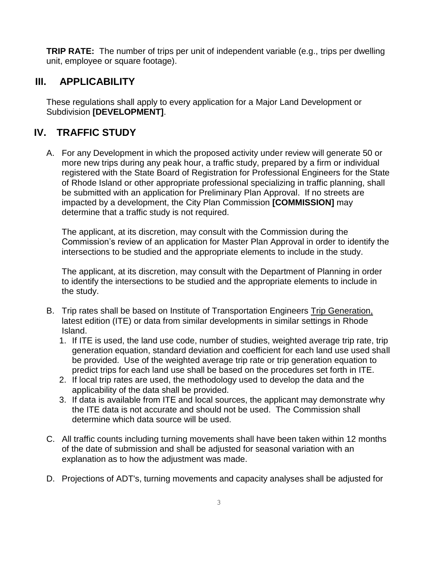**TRIP RATE:** The number of trips per unit of independent variable (e.g., trips per dwelling unit, employee or square footage).

## **III. APPLICABILITY**

These regulations shall apply to every application for a Major Land Development or Subdivision **[DEVELOPMENT]**.

# **IV. TRAFFIC STUDY**

A. For any Development in which the proposed activity under review will generate 50 or more new trips during any peak hour, a traffic study, prepared by a firm or individual registered with the State Board of Registration for Professional Engineers for the State of Rhode Island or other appropriate professional specializing in traffic planning, shall be submitted with an application for Preliminary Plan Approval. If no streets are impacted by a development, the City Plan Commission **[COMMISSION]** may determine that a traffic study is not required.

The applicant, at its discretion, may consult with the Commission during the Commission's review of an application for Master Plan Approval in order to identify the intersections to be studied and the appropriate elements to include in the study.

The applicant, at its discretion, may consult with the Department of Planning in order to identify the intersections to be studied and the appropriate elements to include in the study.

- B. Trip rates shall be based on Institute of Transportation Engineers Trip Generation, latest edition (ITE) or data from similar developments in similar settings in Rhode Island.
	- 1. If ITE is used, the land use code, number of studies, weighted average trip rate, trip generation equation, standard deviation and coefficient for each land use used shall be provided. Use of the weighted average trip rate or trip generation equation to predict trips for each land use shall be based on the procedures set forth in ITE.
	- 2. If local trip rates are used, the methodology used to develop the data and the applicability of the data shall be provided.
	- 3. If data is available from ITE and local sources, the applicant may demonstrate why the ITE data is not accurate and should not be used. The Commission shall determine which data source will be used.
- C. All traffic counts including turning movements shall have been taken within 12 months of the date of submission and shall be adjusted for seasonal variation with an explanation as to how the adjustment was made.
- D. Projections of ADT's, turning movements and capacity analyses shall be adjusted for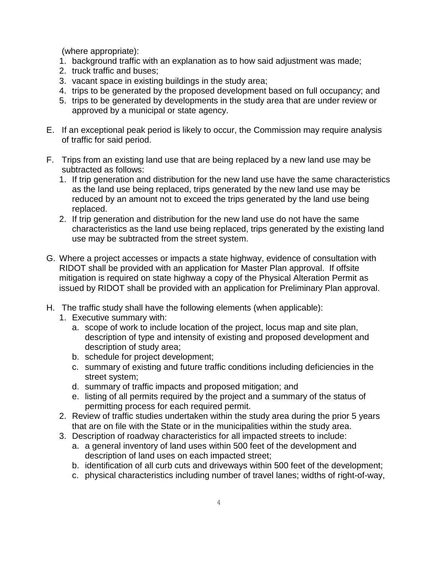(where appropriate):

- 1. background traffic with an explanation as to how said adjustment was made;
- 2. truck traffic and buses;
- 3. vacant space in existing buildings in the study area;
- 4. trips to be generated by the proposed development based on full occupancy; and
- 5. trips to be generated by developments in the study area that are under review or approved by a municipal or state agency.
- E. If an exceptional peak period is likely to occur, the Commission may require analysis of traffic for said period.
- F. Trips from an existing land use that are being replaced by a new land use may be subtracted as follows:
	- 1. If trip generation and distribution for the new land use have the same characteristics as the land use being replaced, trips generated by the new land use may be reduced by an amount not to exceed the trips generated by the land use being replaced.
	- 2. If trip generation and distribution for the new land use do not have the same characteristics as the land use being replaced, trips generated by the existing land use may be subtracted from the street system.
- G. Where a project accesses or impacts a state highway, evidence of consultation with RIDOT shall be provided with an application for Master Plan approval. If offsite mitigation is required on state highway a copy of the Physical Alteration Permit as issued by RIDOT shall be provided with an application for Preliminary Plan approval.
- H. The traffic study shall have the following elements (when applicable):
	- 1. Executive summary with:
		- a. scope of work to include location of the project, locus map and site plan, description of type and intensity of existing and proposed development and description of study area;
		- b. schedule for project development;
		- c. summary of existing and future traffic conditions including deficiencies in the street system;
		- d. summary of traffic impacts and proposed mitigation; and
		- e. listing of all permits required by the project and a summary of the status of permitting process for each required permit.
	- 2. Review of traffic studies undertaken within the study area during the prior 5 years that are on file with the State or in the municipalities within the study area.
	- 3. Description of roadway characteristics for all impacted streets to include:
		- a. a general inventory of land uses within 500 feet of the development and description of land uses on each impacted street;
		- b. identification of all curb cuts and driveways within 500 feet of the development;
		- c. physical characteristics including number of travel lanes; widths of right-of-way,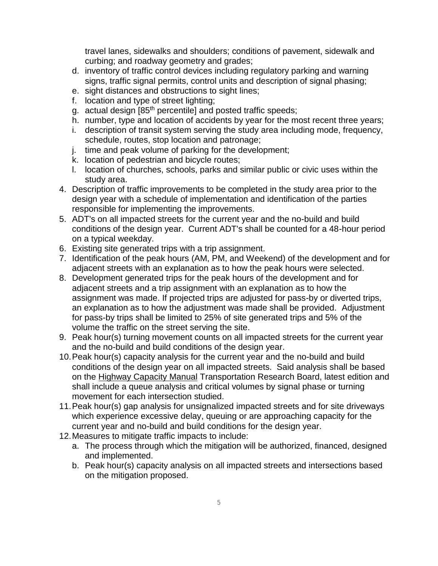travel lanes, sidewalks and shoulders; conditions of pavement, sidewalk and curbing; and roadway geometry and grades;

- d. inventory of traffic control devices including regulatory parking and warning signs, traffic signal permits, control units and description of signal phasing;
- e. sight distances and obstructions to sight lines;
- f. location and type of street lighting;
- g. actual design [85<sup>th</sup> percentile] and posted traffic speeds;
- h. number, type and location of accidents by year for the most recent three years;
- i. description of transit system serving the study area including mode, frequency, schedule, routes, stop location and patronage;
- j. time and peak volume of parking for the development;
- k. location of pedestrian and bicycle routes;
- l. location of churches, schools, parks and similar public or civic uses within the study area.
- 4. Description of traffic improvements to be completed in the study area prior to the design year with a schedule of implementation and identification of the parties responsible for implementing the improvements.
- 5. ADT's on all impacted streets for the current year and the no-build and build conditions of the design year. Current ADT's shall be counted for a 48-hour period on a typical weekday.
- 6. Existing site generated trips with a trip assignment.
- 7. Identification of the peak hours (AM, PM, and Weekend) of the development and for adjacent streets with an explanation as to how the peak hours were selected.
- 8. Development generated trips for the peak hours of the development and for adjacent streets and a trip assignment with an explanation as to how the assignment was made. If projected trips are adjusted for pass-by or diverted trips, an explanation as to how the adjustment was made shall be provided. Adjustment for pass-by trips shall be limited to 25% of site generated trips and 5% of the volume the traffic on the street serving the site.
- 9. Peak hour(s) turning movement counts on all impacted streets for the current year and the no-build and build conditions of the design year.
- 10.Peak hour(s) capacity analysis for the current year and the no-build and build conditions of the design year on all impacted streets. Said analysis shall be based on the Highway Capacity Manual Transportation Research Board, latest edition and shall include a queue analysis and critical volumes by signal phase or turning movement for each intersection studied.
- 11.Peak hour(s) gap analysis for unsignalized impacted streets and for site driveways which experience excessive delay, queuing or are approaching capacity for the current year and no-build and build conditions for the design year.
- 12.Measures to mitigate traffic impacts to include:
	- a. The process through which the mitigation will be authorized, financed, designed and implemented.
	- b. Peak hour(s) capacity analysis on all impacted streets and intersections based on the mitigation proposed.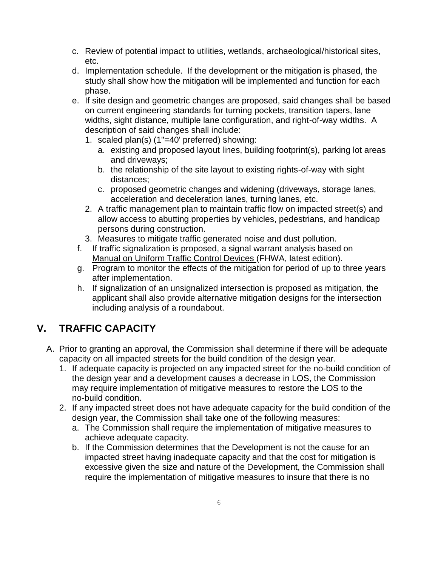- c. Review of potential impact to utilities, wetlands, archaeological/historical sites, etc.
- d. Implementation schedule. If the development or the mitigation is phased, the study shall show how the mitigation will be implemented and function for each phase.
- e. If site design and geometric changes are proposed, said changes shall be based on current engineering standards for turning pockets, transition tapers, lane widths, sight distance, multiple lane configuration, and right-of-way widths. A description of said changes shall include:
	- 1. scaled plan(s) (1"=40' preferred) showing:
		- a. existing and proposed layout lines, building footprint(s), parking lot areas and driveways;
		- b. the relationship of the site layout to existing rights-of-way with sight distances;
		- c. proposed geometric changes and widening (driveways, storage lanes, acceleration and deceleration lanes, turning lanes, etc.
	- 2. A traffic management plan to maintain traffic flow on impacted street(s) and allow access to abutting properties by vehicles, pedestrians, and handicap persons during construction.
	- 3. Measures to mitigate traffic generated noise and dust pollution.
	- f. If traffic signalization is proposed, a signal warrant analysis based on Manual on Uniform Traffic Control Devices (FHWA, latest edition).
	- g. Program to monitor the effects of the mitigation for period of up to three years after implementation.
	- h. If signalization of an unsignalized intersection is proposed as mitigation, the applicant shall also provide alternative mitigation designs for the intersection including analysis of a roundabout.

# **V. TRAFFIC CAPACITY**

- A. Prior to granting an approval, the Commission shall determine if there will be adequate capacity on all impacted streets for the build condition of the design year.
	- 1. If adequate capacity is projected on any impacted street for the no-build condition of the design year and a development causes a decrease in LOS, the Commission may require implementation of mitigative measures to restore the LOS to the no-build condition.
	- 2. If any impacted street does not have adequate capacity for the build condition of the design year, the Commission shall take one of the following measures:
		- a. The Commission shall require the implementation of mitigative measures to achieve adequate capacity.
		- b. If the Commission determines that the Development is not the cause for an impacted street having inadequate capacity and that the cost for mitigation is excessive given the size and nature of the Development, the Commission shall require the implementation of mitigative measures to insure that there is no